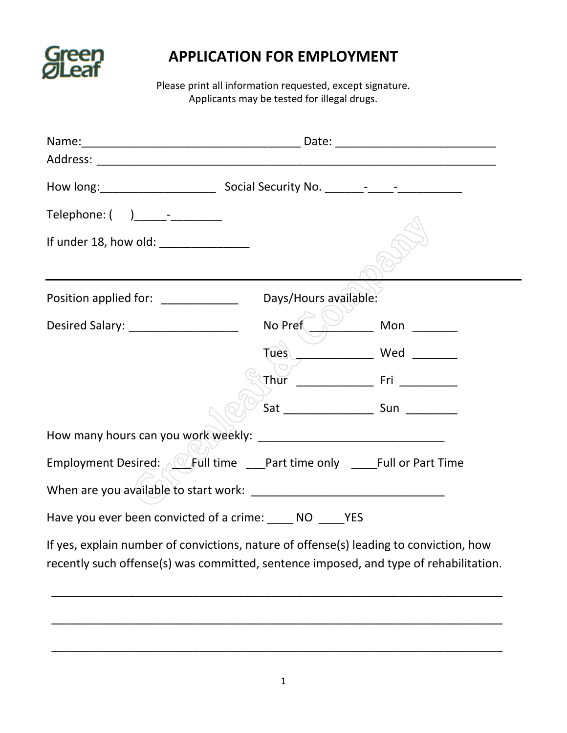

## **APPLICATION FOR EMPLOYMENT**

Please print all information requested, except signature. Applicants may be tested for illegal drugs.

| If under 18, how old: ________________                                                                                                                                          |         |              |
|---------------------------------------------------------------------------------------------------------------------------------------------------------------------------------|---------|--------------|
|                                                                                                                                                                                 |         |              |
| Position applied for: ________________ Days/Hours available:                                                                                                                    |         |              |
| Desired Salary: ____________________                                                                                                                                            | No Pref | Mon $\qquad$ |
|                                                                                                                                                                                 | Tues    | Wed          |
|                                                                                                                                                                                 |         |              |
|                                                                                                                                                                                 |         |              |
|                                                                                                                                                                                 |         |              |
| Employment Desired: <u>Jectifial time</u> ___Part time only ____Full or Part Time                                                                                               |         |              |
|                                                                                                                                                                                 |         |              |
| Have you ever been convicted of a crime: _____ NO _____ YES                                                                                                                     |         |              |
| If yes, explain number of convictions, nature of offense(s) leading to conviction, how<br>recently such offense(s) was committed, sentence imposed, and type of rehabilitation. |         |              |

\_\_\_\_\_\_\_\_\_\_\_\_\_\_\_\_\_\_\_\_\_\_\_\_\_\_\_\_\_\_\_\_\_\_\_\_\_\_\_\_\_\_\_\_\_\_\_\_\_\_\_\_\_\_\_\_\_\_\_\_\_\_\_\_\_\_\_\_\_\_

\_\_\_\_\_\_\_\_\_\_\_\_\_\_\_\_\_\_\_\_\_\_\_\_\_\_\_\_\_\_\_\_\_\_\_\_\_\_\_\_\_\_\_\_\_\_\_\_\_\_\_\_\_\_\_\_\_\_\_\_\_\_\_\_\_\_\_\_\_\_

\_\_\_\_\_\_\_\_\_\_\_\_\_\_\_\_\_\_\_\_\_\_\_\_\_\_\_\_\_\_\_\_\_\_\_\_\_\_\_\_\_\_\_\_\_\_\_\_\_\_\_\_\_\_\_\_\_\_\_\_\_\_\_\_\_\_\_\_\_\_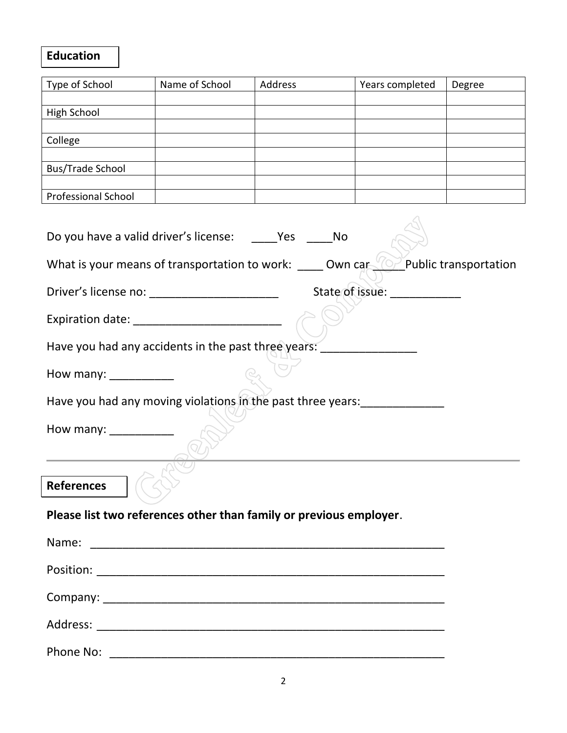## **Education**

| Type of School                                                                                                          | Name of School | Address | Years completed | Degree |  |
|-------------------------------------------------------------------------------------------------------------------------|----------------|---------|-----------------|--------|--|
|                                                                                                                         |                |         |                 |        |  |
| High School                                                                                                             |                |         |                 |        |  |
| College                                                                                                                 |                |         |                 |        |  |
|                                                                                                                         |                |         |                 |        |  |
| <b>Bus/Trade School</b>                                                                                                 |                |         |                 |        |  |
|                                                                                                                         |                |         |                 |        |  |
| Professional School                                                                                                     |                |         |                 |        |  |
| $\circ$ Public transportation<br>What is your means of transportation to work: ______ Own car                           |                |         |                 |        |  |
|                                                                                                                         |                |         |                 |        |  |
| State of issue: ___________<br>Driver's license no: ____________________________                                        |                |         |                 |        |  |
|                                                                                                                         |                |         |                 |        |  |
| Have you had any accidents in the past three years:                                                                     |                |         |                 |        |  |
| How many: $\frac{1}{2}$ How many:                                                                                       |                |         |                 |        |  |
| Have you had any moving violations in the past three years: ____________                                                |                |         |                 |        |  |
| How many: ___________                                                                                                   |                |         |                 |        |  |
| <b>References</b>                                                                                                       |                |         |                 |        |  |
| <u> 1989 - Johann Barnett, fransk politiker (</u><br>Please list two references other than family or previous employer. |                |         |                 |        |  |
|                                                                                                                         |                |         |                 |        |  |
|                                                                                                                         |                |         |                 |        |  |
|                                                                                                                         |                |         |                 |        |  |
|                                                                                                                         |                |         |                 |        |  |
|                                                                                                                         |                |         |                 |        |  |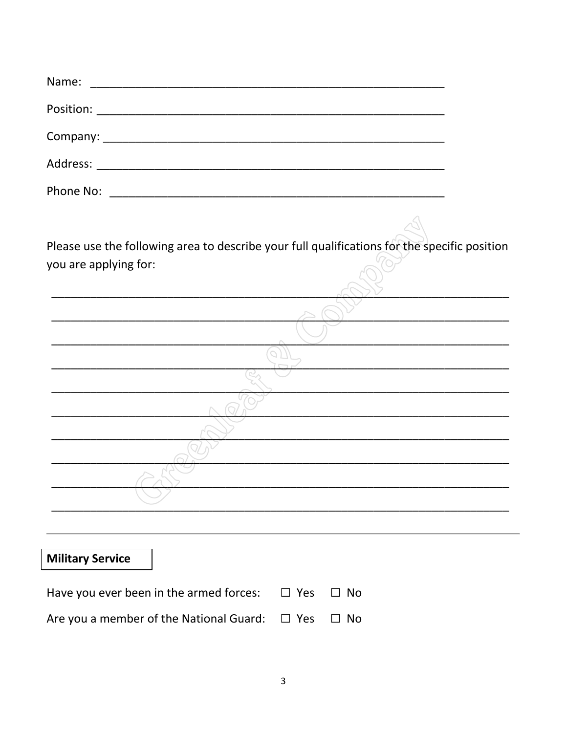| Name:                                                                                                                |  |
|----------------------------------------------------------------------------------------------------------------------|--|
|                                                                                                                      |  |
|                                                                                                                      |  |
|                                                                                                                      |  |
|                                                                                                                      |  |
|                                                                                                                      |  |
| Please use the following area to describe your full qualifications for the specific position                         |  |
| you are applying for:                                                                                                |  |
|                                                                                                                      |  |
|                                                                                                                      |  |
|                                                                                                                      |  |
| <u> 1990 - Johann John Stoff, mars and de British and de British and de British and de British and de British an</u> |  |
| <u> 1989 - Johann John Stone, mars eta biztanleria (h. 1989).</u>                                                    |  |
| <u> 1989 - Johann John Stone, mars eta bat eta bat eta bat ez arte eta bat ez arte eta bat ez arte eta bat ez ar</u> |  |
|                                                                                                                      |  |
|                                                                                                                      |  |
|                                                                                                                      |  |

## **Military Service**

| Have you ever been in the armed forces: $\Box$ Yes $\Box$ No |  |
|--------------------------------------------------------------|--|
| Are you a member of the National Guard: $\Box$ Yes $\Box$ No |  |